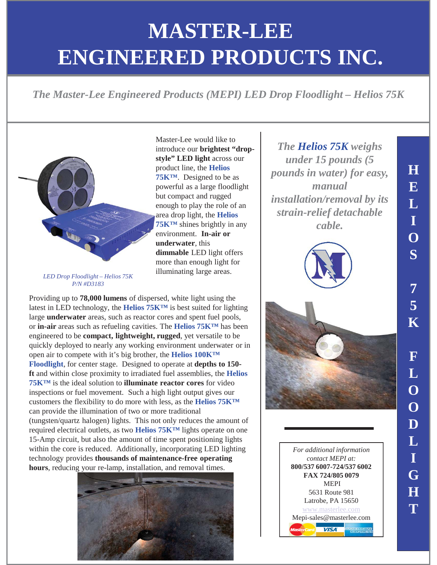## **MASTER-LEE ENGINEERED PRODUCTS ENGINEERED PRODUCTS INC.**

*The Master-Lee Engineered Products (MEPI) LED Drop Floodlight – Helios 75K* 



introduce our **brightest "dropstyle" LED light** across our product line, the **Helios 75K™**. Designed to be as powerful as a large floodlight but compact and rugged enough to play the role of an area drop light, the **Helios 75K™** shines brightly in any environment. **In-air or underwater**, this **dimmable** LED light offers more than enough light for illuminating large areas.

Master-Lee would like to

*LED Drop Floodlight – Helios 75K P/N #D3183*

Providing up to **78,000 lumens** of dispersed, white light using the latest in LED technology, the **Helios 75K™** is best suited for lighting large **underwater** areas, such as reactor cores and spent fuel pools, or **in-air** areas such as refueling cavities. The **Helios 75K™** has been engineered to be **compact, lightweight, rugged**, yet versatile to be quickly deployed to nearly any working environment underwater or in open air to compete with it's big brother, the **Helios 100K™ Floodlight**, for center stage. Designed to operate at **depths to 150 ft** and within close proximity to irradiated fuel assemblies, the **Helios 75K™** is the ideal solution to **illuminate reactor cores** for video inspections or fuel movement. Such a high light output gives our customers the flexibility to do more with less, as the **Helios 75K™**  can provide the illumination of two or more traditional (tungsten/quartz halogen) lights. This not only reduces the amount of required electrical outlets, as two **Helios 75K™** lights operate on one 15-Amp circuit, but also the amount of time spent positioning lights within the core is reduced. Additionally, incorporating LED lighting technology provides **thousands of maintenance-free operating hours**, reducing your re-lamp, installation, and removal times.



*The Helios 75K weighs under 15 pounds (5 pounds in water) for easy, manual installation/removal by its strain-relief detachable cable.*